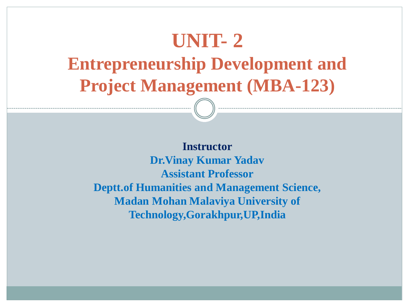## **UNIT- 2**

**Entrepreneurship Development and Project Management (MBA-123)**

**Instructor Dr.Vinay Kumar Yadav Assistant Professor Deptt.of Humanities and Management Science, Madan Mohan Malaviya University of Technology,Gorakhpur,UP,India**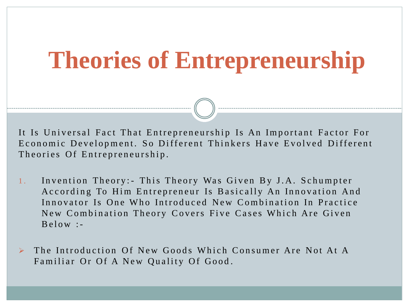## **Theories of Entrepreneurship**

It Is Universal Fact That Entrepreneurship Is An Important Factor For Economic Development. So Different Thinkers Have Evolved Different Theories Of Entrepreneurship.

- 1. Invention Theory: This Theory Was Given By J.A. Schumpter According To Him Entrepreneur Is Basically An Innovation And Innovator Is One Who Introduced New Combination In Practice New Combination Theory Covers Five Cases Which Are Given  $B$  e l  $\alpha$  w : -
- The Introduction Of New Goods Which Consumer Are Not At A Familiar Or Of A New Quality Of Good.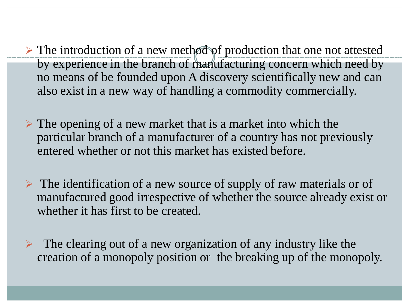- $\triangleright$  The introduction of a new method of production that one not attested by experience in the branch of manufacturing concern which need by no means of be founded upon A discovery scientifically new and can also exist in a new way of handling a commodity commercially.
- $\triangleright$  The opening of a new market that is a market into which the particular branch of a manufacturer of a country has not previously entered whether or not this market has existed before.
- $\triangleright$  The identification of a new source of supply of raw materials or of manufactured good irrespective of whether the source already exist or whether it has first to be created.
- $\triangleright$  The clearing out of a new organization of any industry like the creation of a monopoly position or the breaking up of the monopoly.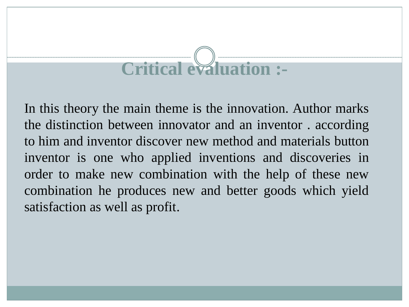# **Critical evaluation :-**

In this theory the main theme is the innovation. Author marks the distinction between innovator and an inventor . according to him and inventor discover new method and materials button inventor is one who applied inventions and discoveries in order to make new combination with the help of these new combination he produces new and better goods which yield satisfaction as well as profit.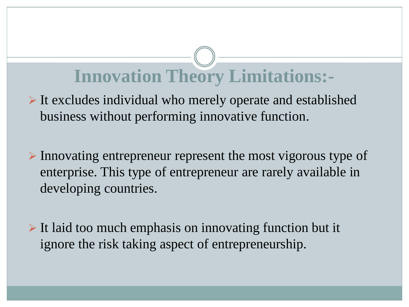## **Innovation Theory Limitations:-**

- $\triangleright$  It excludes individual who merely operate and established business without performing innovative function.
- $\triangleright$  Innovating entrepreneur represent the most vigorous type of enterprise. This type of entrepreneur are rarely available in developing countries.
- $\triangleright$  It laid too much emphasis on innovating function but it ignore the risk taking aspect of entrepreneurship.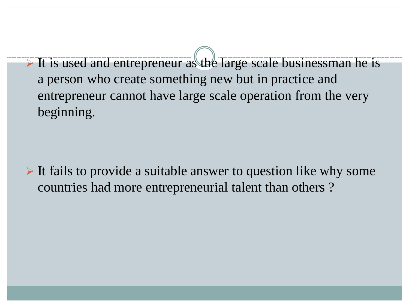$\triangleright$  It is used and entrepreneur as the large scale businessman he is a person who create something new but in practice and entrepreneur cannot have large scale operation from the very beginning.

 $\triangleright$  It fails to provide a suitable answer to question like why some countries had more entrepreneurial talent than others ?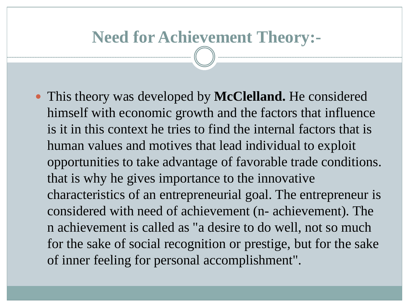#### **Need for Achievement Theory:-**

 This theory was developed by **McClelland.** He considered himself with economic growth and the factors that influence is it in this context he tries to find the internal factors that is human values and motives that lead individual to exploit opportunities to take advantage of favorable trade conditions. that is why he gives importance to the innovative characteristics of an entrepreneurial goal. The entrepreneur is considered with need of achievement (n- achievement). The n achievement is called as "a desire to do well, not so much for the sake of social recognition or prestige, but for the sake of inner feeling for personal accomplishment".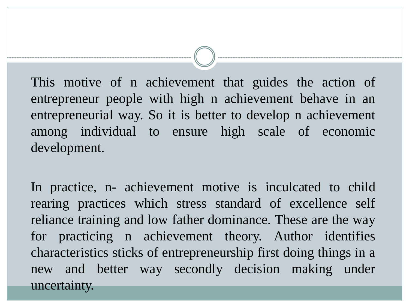This motive of n achievement that guides the action of entrepreneur people with high n achievement behave in an entrepreneurial way. So it is better to develop n achievement among individual to ensure high scale of economic development.

In practice, n- achievement motive is inculcated to child rearing practices which stress standard of excellence self reliance training and low father dominance. These are the way for practicing n achievement theory. Author identifies characteristics sticks of entrepreneurship first doing things in a new and better way secondly decision making under uncertainty.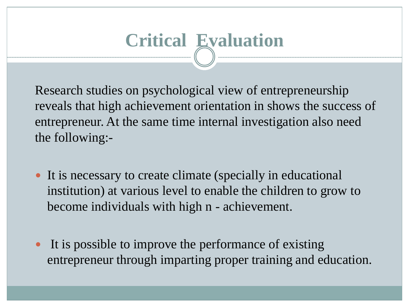# **Critical Evaluation**

Research studies on psychological view of entrepreneurship reveals that high achievement orientation in shows the success of entrepreneur. At the same time internal investigation also need the following:-

- It is necessary to create climate (specially in educational institution) at various level to enable the children to grow to become individuals with high n - achievement.
- It is possible to improve the performance of existing entrepreneur through imparting proper training and education.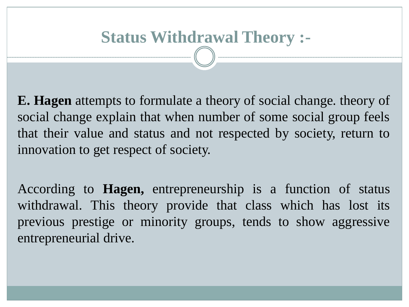#### **Status Withdrawal Theory :-**

**E. Hagen** attempts to formulate a theory of social change. theory of social change explain that when number of some social group feels that their value and status and not respected by society, return to innovation to get respect of society.

According to **Hagen,** entrepreneurship is a function of status withdrawal. This theory provide that class which has lost its previous prestige or minority groups, tends to show aggressive entrepreneurial drive.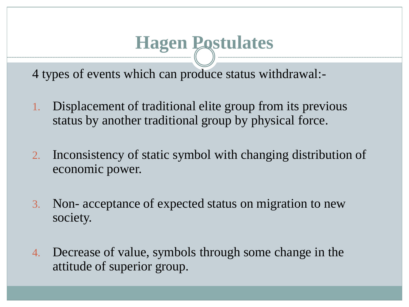### **Hagen Postulates**

4 types of events which can produce status withdrawal:-

- 1. Displacement of traditional elite group from its previous status by another traditional group by physical force.
- 2. Inconsistency of static symbol with changing distribution of economic power.
- 3. Non- acceptance of expected status on migration to new society.
- 4. Decrease of value, symbols through some change in the attitude of superior group.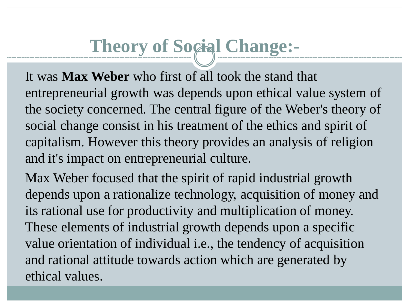## **Theory of Social Change:-**

It was **Max Weber** who first of all took the stand that entrepreneurial growth was depends upon ethical value system of the society concerned. The central figure of the Weber's theory of social change consist in his treatment of the ethics and spirit of capitalism. However this theory provides an analysis of religion and it's impact on entrepreneurial culture.

Max Weber focused that the spirit of rapid industrial growth depends upon a rationalize technology, acquisition of money and its rational use for productivity and multiplication of money. These elements of industrial growth depends upon a specific value orientation of individual i.e., the tendency of acquisition and rational attitude towards action which are generated by ethical values.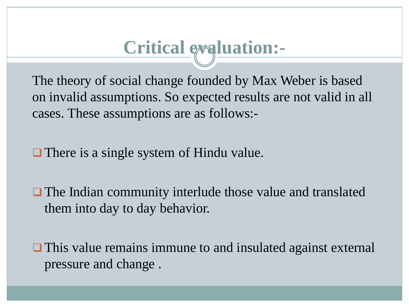## **Critical evaluation:-**

The theory of social change founded by Max Weber is based on invalid assumptions. So expected results are not valid in all cases. These assumptions are as follows:-

**There is a single system of Hindu value.** 

**The Indian community interlude those value and translated** them into day to day behavior.

**□** This value remains immune to and insulated against external pressure and change .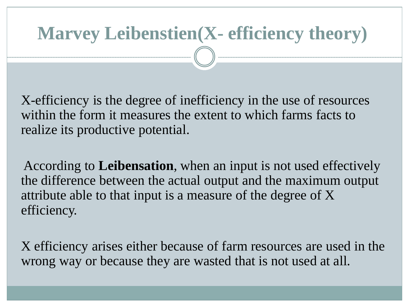# **Marvey Leibenstien(X- efficiency theory)**

X-efficiency is the degree of inefficiency in the use of resources within the form it measures the extent to which farms facts to realize its productive potential.

According to **Leibensation**, when an input is not used effectively the difference between the actual output and the maximum output attribute able to that input is a measure of the degree of X efficiency.

X efficiency arises either because of farm resources are used in the wrong way or because they are wasted that is not used at all.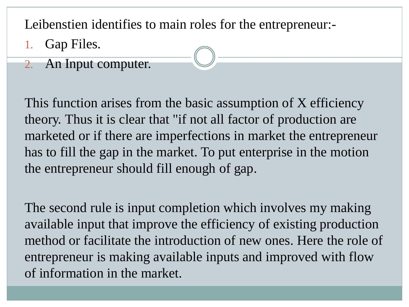Leibenstien identifies to main roles for the entrepreneur:-

- Gap Files.
- 2. An Input computer.

This function arises from the basic assumption of X efficiency theory. Thus it is clear that "if not all factor of production are marketed or if there are imperfections in market the entrepreneur has to fill the gap in the market. To put enterprise in the motion the entrepreneur should fill enough of gap.

The second rule is input completion which involves my making available input that improve the efficiency of existing production method or facilitate the introduction of new ones. Here the role of entrepreneur is making available inputs and improved with flow of information in the market.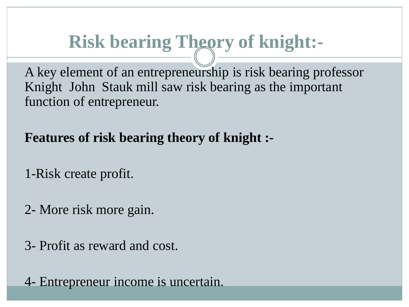## **Risk bearing Theory of knight:-**

A key element of an entrepreneurship is risk bearing professor Knight John Stauk mill saw risk bearing as the important function of entrepreneur.

**Features of risk bearing theory of knight :-**

1-Risk create profit.

2- More risk more gain.

3- Profit as reward and cost.

4- Entrepreneur income is uncertain.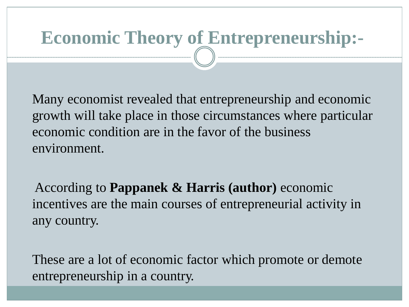## **Economic Theory of Entrepreneurship:-**

Many economist revealed that entrepreneurship and economic growth will take place in those circumstances where particular economic condition are in the favor of the business environment.

According to **Pappanek & Harris (author)** economic incentives are the main courses of entrepreneurial activity in any country.

These are a lot of economic factor which promote or demote entrepreneurship in a country.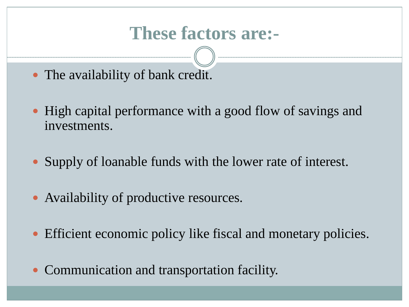#### **These factors are:-**

- The availability of bank credit.
- High capital performance with a good flow of savings and investments.
- Supply of loanable funds with the lower rate of interest.
- Availability of productive resources.
- Efficient economic policy like fiscal and monetary policies.
- Communication and transportation facility.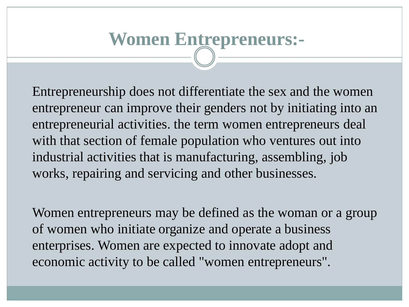## **Women Entrepreneurs:-**

Entrepreneurship does not differentiate the sex and the women entrepreneur can improve their genders not by initiating into an entrepreneurial activities. the term women entrepreneurs deal with that section of female population who ventures out into industrial activities that is manufacturing, assembling, job works, repairing and servicing and other businesses.

Women entrepreneurs may be defined as the woman or a group of women who initiate organize and operate a business enterprises. Women are expected to innovate adopt and economic activity to be called "women entrepreneurs".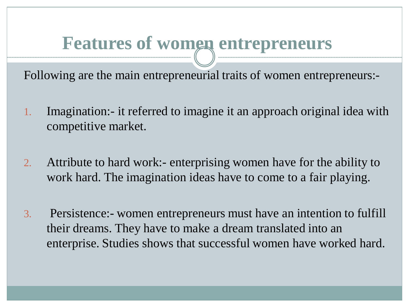#### **Features of women entrepreneurs**

Following are the main entrepreneurial traits of women entrepreneurs:-

- 1. Imagination:- it referred to imagine it an approach original idea with competitive market.
- 2. Attribute to hard work:- enterprising women have for the ability to work hard. The imagination ideas have to come to a fair playing.
- 3. Persistence:- women entrepreneurs must have an intention to fulfill their dreams. They have to make a dream translated into an enterprise. Studies shows that successful women have worked hard.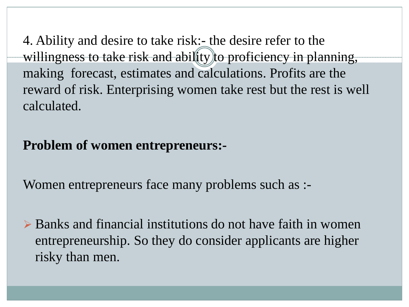4. Ability and desire to take risk:- the desire refer to the willingness to take risk and ability to proficiency in planning, making forecast, estimates and calculations. Profits are the reward of risk. Enterprising women take rest but the rest is well calculated.

#### **Problem of women entrepreneurs:-**

Women entrepreneurs face many problems such as :-

 $\triangleright$  Banks and financial institutions do not have faith in women entrepreneurship. So they do consider applicants are higher risky than men.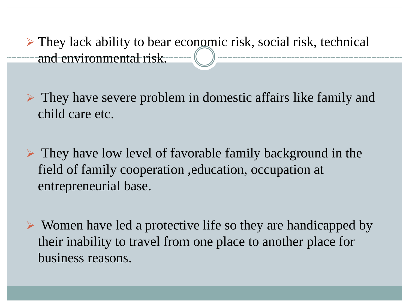$\triangleright$  They lack ability to bear economic risk, social risk, technical and environmental risk.

 $\triangleright$  They have severe problem in domestic affairs like family and child care etc.

 $\triangleright$  They have low level of favorable family background in the field of family cooperation ,education, occupation at entrepreneurial base.

 $\triangleright$  Women have led a protective life so they are handicapped by their inability to travel from one place to another place for business reasons.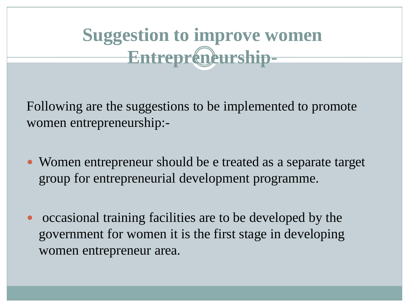## **Suggestion to improve women Entrepreneurship-**

Following are the suggestions to be implemented to promote women entrepreneurship:-

- Women entrepreneur should be e treated as a separate target group for entrepreneurial development programme.
- occasional training facilities are to be developed by the government for women it is the first stage in developing women entrepreneur area.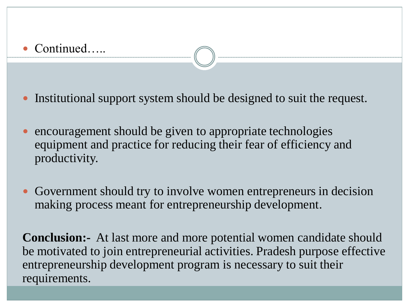#### Continued…..

• Institutional support system should be designed to suit the request.

- encouragement should be given to appropriate technologies equipment and practice for reducing their fear of efficiency and productivity.
- Government should try to involve women entrepreneurs in decision making process meant for entrepreneurship development.

**Conclusion:-** At last more and more potential women candidate should be motivated to join entrepreneurial activities. Pradesh purpose effective entrepreneurship development program is necessary to suit their requirements.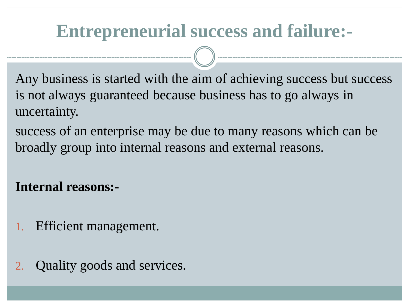#### **Entrepreneurial success and failure:-**

Any business is started with the aim of achieving success but success is not always guaranteed because business has to go always in uncertainty.

success of an enterprise may be due to many reasons which can be broadly group into internal reasons and external reasons.

#### **Internal reasons:-**

- Efficient management.
- Quality goods and services.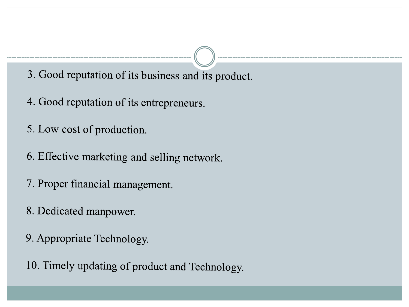3. Good reputation of its business and its product.

- 4. Good reputation of its entrepreneurs.
- 5. Low cost of production.
- 6. Effective marketing and selling network.
- 7. Proper financial management.
- 8. Dedicated manpower.
- 9. Appropriate Technology.

10. Timely updating of product and Technology.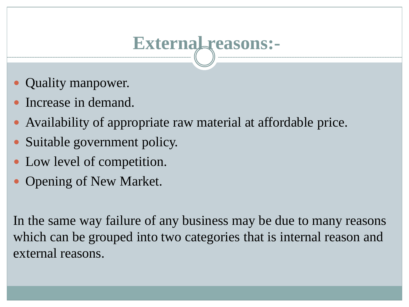## **External reasons:-**

- Quality manpower.
- Increase in demand.
- Availability of appropriate raw material at affordable price.
- Suitable government policy.
- Low level of competition.
- Opening of New Market.

In the same way failure of any business may be due to many reasons which can be grouped into two categories that is internal reason and external reasons.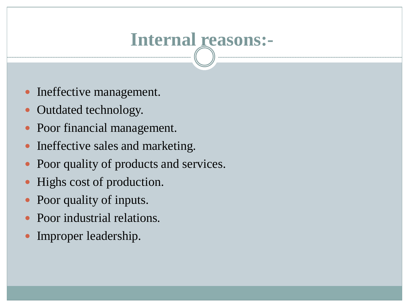## **Internal reasons:-**

- Ineffective management.
- Outdated technology.
- Poor financial management.
- Ineffective sales and marketing.
- Poor quality of products and services.
- Highs cost of production.
- Poor quality of inputs.
- Poor industrial relations.
- Improper leadership.